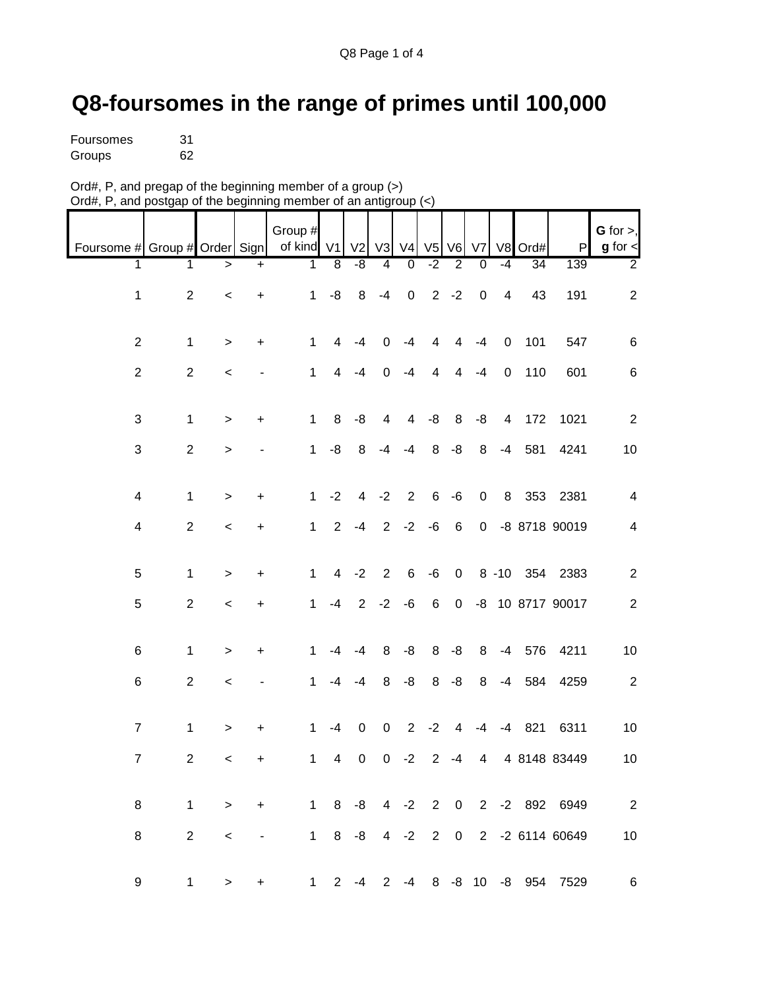## **Q8-foursomes in the range of primes until 100,000**

| Foursomes | 31 |
|-----------|----|
| Groups    | 62 |

| Ord#, P, and pregap of the beginning member of a group $(>)$     |  |
|------------------------------------------------------------------|--|
| Ord#, P, and postgap of the beginning member of an antigroup (<) |  |

|                               |                  |              |           | Group #      |                |                |                |                |                |                |                  |                |                 |                                 | G for $>$ ,      |
|-------------------------------|------------------|--------------|-----------|--------------|----------------|----------------|----------------|----------------|----------------|----------------|------------------|----------------|-----------------|---------------------------------|------------------|
| Foursome # Group # Order Sign |                  |              |           | of kind V1   |                | V <sub>2</sub> | V3             | V <sub>4</sub> | V <sub>5</sub> | V6             | V7               |                | V8 Ord#         | P                               | $g$ for $\lt$    |
| 1                             | 1                | >            | +         | 1            | $\overline{8}$ | -8             | 4              | 0              | $-2$           | $\overline{2}$ | 0                | $-4$           | $\overline{34}$ | 139                             | $\overline{2}$   |
| $\mathbf{1}$                  | $\sqrt{2}$       | $\,<$        | +         | $\mathbf{1}$ | -8             | 8              | $-4$           | $\pmb{0}$      |                | $2 - 2$        | $\boldsymbol{0}$ | 4              | 43              | 191                             | $\boldsymbol{2}$ |
| $\overline{2}$                | $\mathbf 1$      | $\,>$        | $\ddot{}$ | 1            | 4              | $-4$           | 0              | $-4$           | 4              | 4              | $-4$             | $\mathbf 0$    | 101             | 547                             | $\,6$            |
| $\overline{2}$                | $\mathbf{2}$     | $\,<$        |           | $\mathbf 1$  | 4              | $-4$           | $\mathbf 0$    | $-4$           | 4              | 4              | $-4$             | $\mathbf 0$    | 110             | 601                             | $\,6$            |
| 3                             | $\mathbf 1$      | $\, >$       | $\ddot{}$ | $\mathbf 1$  | 8              | -8             | 4              | 4              | -8             | 8              | -8               | $\overline{4}$ | 172             | 1021                            | $\sqrt{2}$       |
| 3                             | $\boldsymbol{2}$ | $\, > \,$    |           | $\mathbf{1}$ | -8             | 8              | -4             | $-4$           | 8              | $-8$           | 8                | -4             | 581             | 4241                            | 10               |
| $\overline{\mathcal{A}}$      | $\mathbf{1}$     | $\,>$        | $\ddot{}$ | $\mathbf{1}$ | $-2$           | $\overline{4}$ | $-2$           | 2              | $\,6\,$        | $-6$           | $\pmb{0}$        |                |                 | 8 353 2381                      | $\overline{4}$   |
| $\overline{\mathcal{A}}$      | $\overline{2}$   | $\,<$        | $\ddot{}$ | $\mathbf{1}$ | $2^{\circ}$    | $-4$           | $2^{\circ}$    | $-2$           | $-6$           | $\,6\,$        | $\overline{0}$   |                |                 | -8 8718 90019                   | $\overline{4}$   |
| 5                             | $\mathbf 1$      | $\mathbf{L}$ | $\ddot{}$ | 1            | $\overline{4}$ | $-2$           | $\overline{2}$ | $\,6$          | $-6$           | $\pmb{0}$      |                  |                |                 | 8 -10 354 2383                  | $\overline{c}$   |
| $\sqrt{5}$                    | $\overline{2}$   | $\,<$        | +         | $\mathbf{1}$ | -4             | $\overline{2}$ | $-2$           | $-6$           | 6              | $\mathbf 0$    |                  |                |                 | -8 10 8717 90017                | $\overline{2}$   |
| 6                             | $\mathbf{1}$     | $\, >$       | $\ddot{}$ | 1            | $-4$           | $-4$           | 8              | -8             | 8              | $-8$           | 8                | -4             | 576             | 4211                            | 10               |
| $\,6$                         | $\mathbf{2}$     | $\,<$        |           | 1            | $-4$           | $-4$           | 8              | -8             | 8              | $-8$           | 8                | -4             | 584             | 4259                            | $\overline{c}$   |
| $\boldsymbol{7}$              | $\mathbf{1}$     | $\,$         | +         | 1            | $-4$           | $\mathbf 0$    | 0              | $\overline{2}$ | $-2$           | 4              | $-4$             | $-4$           | 821             | 6311                            | 10               |
| $\overline{7}$                | $\overline{c}$   | $\,<\,$      | +         | 1            | 4              | 0              | 0              | $-2$           | $\overline{c}$ | $-4$           | 4                |                |                 | 4 8148 83449                    | 10               |
| 8                             | $\mathbf{1}$     | $\, >$       | $+$       |              |                |                |                |                |                |                |                  |                |                 | 1 8 -8 4 -2 2 0 2 -2 892 6949   | $\overline{2}$   |
| 8                             | $\overline{2}$   | $\,<$        |           |              |                |                |                |                |                |                |                  |                |                 | 1 8 -8 4 -2 2 0 2 -2 6114 60649 | 10               |
| 9                             | $\mathbf{1}$     | $\, > \,$    | +         |              |                | $1 \t2 \t-4$   |                |                |                |                |                  |                |                 | 2 -4 8 -8 10 -8 954 7529        | $6\overline{6}$  |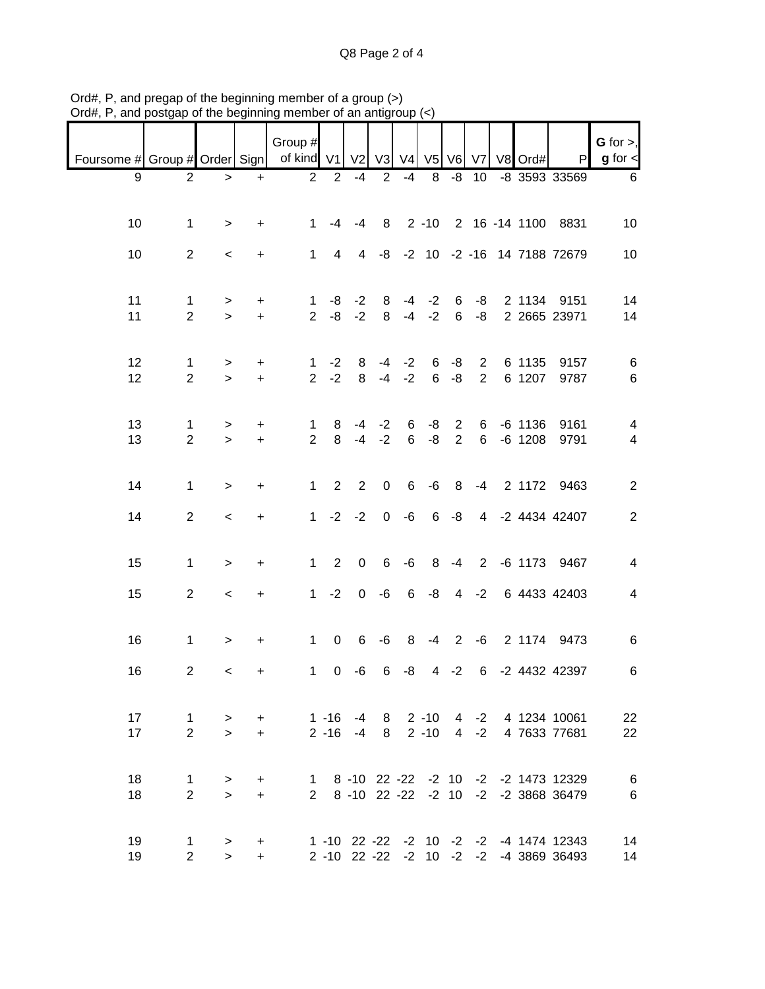Q8 Page 2 of 4

| Foursome # Group # Order Sign |                                  |                          |                        | Group #<br>of kind V1 V2 V3 V4 V5 V6 V7 V8 Ord#    |                    |                |                      |                      |                                 |                                  |                |                        | P                                                                                | $G$ for $>$ ,<br>$g$ for $\leq$ |
|-------------------------------|----------------------------------|--------------------------|------------------------|----------------------------------------------------|--------------------|----------------|----------------------|----------------------|---------------------------------|----------------------------------|----------------|------------------------|----------------------------------------------------------------------------------|---------------------------------|
|                               |                                  |                          |                        |                                                    |                    |                |                      |                      |                                 |                                  |                |                        |                                                                                  |                                 |
| 9                             | $\overline{2}$                   | $\geq$                   | $\ddot{}$              |                                                    | $\overline{2}$ 2   | -4             | 2                    | $-4$                 | 8                               | -8                               |                |                        | 10 -8 3593 33569                                                                 | 6                               |
| 10                            | $\mathbf 1$                      | $\, > \,$                | +                      | $\mathbf 1$                                        | -4                 | $-4$           |                      |                      |                                 |                                  |                |                        | 8 2 -10 2 16 -14 1100 8831                                                       | 10                              |
| 10                            | $\overline{2}$                   | $\overline{\phantom{0}}$ | $\ddot{}$              | $\mathbf{1}$                                       | $\overline{4}$     |                |                      |                      |                                 |                                  |                |                        | 4 -8 -2 10 -2 -16 14 7188 72679                                                  | 10                              |
| 11<br>11                      | $\mathbf{1}$<br>$\overline{2}$   | ><br>$\geq$              | $\ddot{}$<br>$\ddot{}$ |                                                    | $1 - 8$<br>$2 - 8$ | $-2$<br>$-2$   | 8<br>8               |                      | $-4$ $-2$ 6<br>$-4$ $-2$ 6 $-8$ |                                  | -8             |                        | 2 1134 9151<br>2 2665 23971                                                      | 14<br>14                        |
| 12                            | $\mathbf{1}$                     | $\, >$                   | +                      |                                                    | $1 -2$             | 8              | -4                   | $-2$                 | 6                               | $-8$                             | $\overline{2}$ | 6 1135                 | 9157                                                                             | 6                               |
| 12                            | $\overline{2}$                   | $\geq$                   | $\ddot{}$              |                                                    | $2 -2$             | 8              |                      | $-4 -2$              |                                 | $6 - 8$                          | $\overline{2}$ | 6 1207                 | 9787                                                                             | $\,6\,$                         |
| 13<br>13                      | $\mathbf{1}$<br>$\overline{2}$   | $\, >$<br>$\geq$         | +<br>$\ddot{}$         | 1<br>2 <sup>1</sup>                                | 8<br>8             |                | $-4$ $-2$<br>$-4 -2$ | 6<br>$6\overline{6}$ | -8<br>$-8$                      | $\overline{2}$<br>$\overline{2}$ | 6<br>6         | $-6$ 1136<br>$-6$ 1208 | 9161<br>9791                                                                     | 4<br>$\overline{4}$             |
| 14                            | $\mathbf{1}$                     | $\,>$                    | $\ddot{}$              |                                                    | $1\quad 2$         | 2              | $\boldsymbol{0}$     | 6                    | -6                              | 8 <sup>8</sup>                   |                |                        | -4 2 1172 9463                                                                   | $\overline{2}$                  |
| 14                            | $\overline{2}$                   | $\prec$                  | +                      |                                                    | $1 -2 -2$          |                | $\mathbf{0}$         | -6                   |                                 | $6 - 8$                          |                |                        | 4 -2 4434 42407                                                                  | $\overline{2}$                  |
| 15                            | $\mathbf{1}$                     | $\geq$                   | +                      |                                                    | $1 \quad 2$        | $\mathbf 0$    | 6                    | $-6$                 |                                 |                                  |                |                        | 8 -4 2 -6 1173 9467                                                              | 4                               |
| 15                            | $\overline{2}$                   | $\,<$                    | $\ddot{}$              |                                                    | $1 -2$             | $\overline{0}$ | -6                   | 6                    |                                 |                                  |                |                        | -8 4 -2 6 4433 42403                                                             | $\overline{\mathbf{4}}$         |
| 16                            | $\mathbf{1}$                     | $\,$                     | +                      | $\mathbf{1}$                                       | $\overline{0}$     | 6              | -6                   |                      | $8 - 4 2 - 6$                   |                                  |                |                        | 2 1174 9473                                                                      | $\,6$                           |
| 16                            | $\overline{2}$                   | $\,<\,$                  | +                      | $\mathbf 1$                                        | $\overline{0}$     | -6             | 6                    | -8                   |                                 | $4 -2$                           |                |                        | 6 -2 4432 42397                                                                  | 6                               |
| 17<br>17                      | $\mathbf{1}$<br>$\overline{2}$   | ><br>$\geq$              | $+$                    | + 1 -16 -4 8 2 -10 4 -2 4 1234 10061               |                    |                |                      |                      |                                 |                                  |                |                        | 2 -16 -4 8 2 -10 4 -2 4 7633 77681                                               | 22<br>22                        |
| 18<br>18                      | $\mathbf{1}$<br>$\overline{2}$   | $\geq$<br>$\geq$         |                        | + 1 8 -10 22 -22 -2 10 -2 -2 1473 12329<br>$+$ $-$ |                    |                |                      |                      |                                 |                                  |                |                        | 2 8 -10 22 -22 -2 10 -2 -2 3868 36479                                            | $\,6$<br>$\,6$                  |
| 19<br>19                      | $\overline{1}$<br>$\overline{2}$ | ><br>$\geq$              | $+$<br>$+$             |                                                    |                    |                |                      |                      |                                 |                                  |                |                        | 1 -10 22 -22 -2 10 -2 -2 -4 1474 12343<br>2 -10 22 -22 -2 10 -2 -2 -4 3869 36493 | 14<br>14                        |

Ord#, P, and pregap of the beginning member of a group (>) Ord#, P, and postgap of the beginning member of an antigroup (<)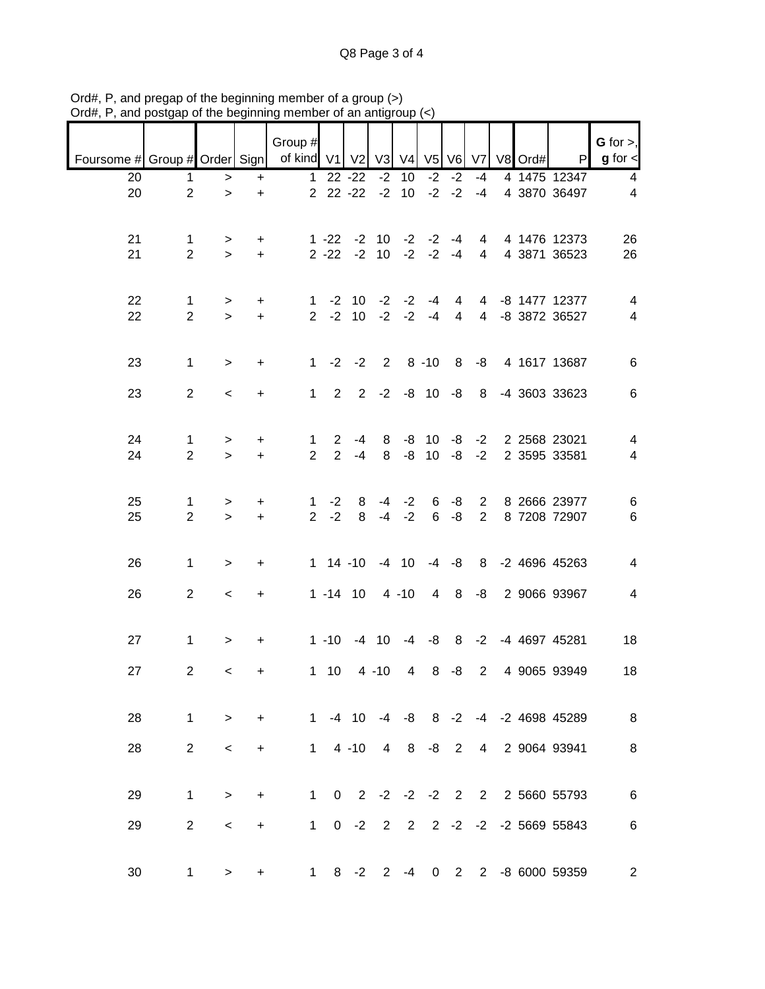Q8 Page 3 of 4

| Foursome # Group # Order Sign   of kind V1 |                                |                          |                | Group #                        |                                  | V <sub>2</sub>                   | V3             | V <sub>4</sub> |                       | V <sub>5</sub> V <sub>6</sub> V <sub>7</sub> |                                  | V8 Ord# | P                                     | $G$ for $>$ ,<br>$g$ for $\lt$ |
|--------------------------------------------|--------------------------------|--------------------------|----------------|--------------------------------|----------------------------------|----------------------------------|----------------|----------------|-----------------------|----------------------------------------------|----------------------------------|---------|---------------------------------------|--------------------------------|
| 20                                         | 1                              | >                        | +              | $\mathbf 1$                    |                                  | $22 - 22$                        | $-2$           | 10             | $-2$                  | $-2$                                         | $-4$                             |         | 4 1475 12347                          | $\overline{\mathbf{4}}$        |
| 20                                         | $\overline{2}$                 | $\,>$                    | $\ddot{}$      |                                | $2$ $22$ $-22$                   |                                  | $-2$           | 10             |                       | $-2 -2$                                      | $-4$                             |         | 4 3870 36497                          | $\overline{4}$                 |
| 21<br>21                                   | $\mathbf{1}$<br>$\overline{2}$ | ><br>$\geq$              | +<br>$\ddot{}$ |                                |                                  | $1 - 22 - 210$<br>$2 - 22 - 210$ |                | $-2$           | $-2$ $-2$ $-4$        | $-2 - 4$                                     | 4<br>4                           |         | 4 1476 12373<br>4 3871 36523          | 26<br>26                       |
| 22<br>22                                   | $\mathbf{1}$<br>$\overline{2}$ | ><br>$\geq$              | +<br>$+$       | $\mathbf 1$                    | $-2$<br>$2 -2$                   | 10<br>10 <sup>°</sup>            | $-2$<br>$-2$   | $-2$<br>$-2$   | -4<br>$-4$            | 4<br>$\overline{4}$                          | 4<br>$\overline{4}$              |         | -8 1477 12377<br>-8 3872 36527        | 4<br>$\overline{\mathbf{4}}$   |
| 23                                         | $\mathbf{1}$                   | $\, >$                   | $\ddot{}$      | $\mathbf{1}$                   |                                  | $-2 -2$                          | $2^{\circ}$    |                | $8 - 10$              | 8 <sup>8</sup>                               | -8                               |         | 4 1617 13687                          | $\,6\,$                        |
| 23                                         | $\overline{2}$                 | $\,<$                    | +              | $\mathbf{1}$                   | $2^{\circ}$                      | $\overline{2}$                   | $-2$           |                | $-8$ 10 $-8$          |                                              | 8 <sup>8</sup>                   |         | -4 3603 33623                         | $\,6$                          |
| 24<br>24                                   | $\mathbf{1}$<br>$\overline{2}$ | $\, >$<br>$\geq$         | +<br>$\ddot{}$ | $\mathbf{1}$<br>$\overline{2}$ | $\overline{2}$<br>$\overline{2}$ | -4<br>$-4$                       | 8<br>8         | -8<br>-8       | 10 <sup>°</sup><br>10 | -8<br>$-8$                                   | $-2$<br>$-2$                     |         | 2 2568 23021<br>2 3595 33581          | 4<br>$\overline{\mathcal{A}}$  |
| 25<br>25                                   | $\mathbf{1}$<br>$\overline{2}$ | $\, > \,$<br>$\geq$      | +<br>$\ddot{}$ | $\mathbf{1}$<br>$\overline{2}$ | $-2$<br>$-2$                     | 8<br>8                           | -4<br>$-4$     | $-2$<br>$-2$   | 6<br>6                | -8<br>$-8$                                   | $\overline{2}$<br>$\overline{2}$ |         | 8 2666 23977<br>8 7208 72907          | $\,6$<br>$\,6$                 |
| 26                                         | $\mathbf 1$                    | $\,>$                    | +              |                                | $1 14 - 10$                      |                                  |                | $-4$ 10        |                       | $-4 - 8$                                     | 8                                |         | -2 4696 45263                         | 4                              |
| 26                                         | $\overline{2}$                 | $\,<$                    | +              |                                | $1 - 14$ 10                      |                                  |                | $4 - 10$       | 4                     | 8 <sup>8</sup>                               | -8                               |         | 2 9066 93967                          | 4                              |
| 27                                         | $\mathbf{1}$                   | $\,$                     | +              |                                | $1 - 10$                         |                                  | $-4$ 10        | $-4$           | -8                    | 8                                            |                                  |         | -2 -4 4697 45281                      | 18                             |
| 27                                         | $\overline{2}$                 | $\,<\,$                  | +              |                                | $1 10$                           |                                  | $4 - 10$       | $\overline{4}$ | 8                     | -8                                           | $\overline{2}$                   |         | 4 9065 93949                          | 18                             |
| 28                                         | $\mathbf{1}$                   | $\geq$                   | $+$            |                                |                                  |                                  |                |                |                       |                                              |                                  |         | 1 -4 10 -4 -8 8 -2 -4 -2 4698 45289   | 8 <sup>8</sup>                 |
| 28                                         | $\overline{2}$                 | $\overline{\phantom{0}}$ | $\ddot{}$      |                                | $1 4 - 10$                       |                                  | $\overline{4}$ | 8 <sup>8</sup> | $-8$ 2                |                                              |                                  |         | 4 2 9064 93941                        | $\, 8$                         |
| 29                                         | $\mathbf{1}$                   | $\geq$                   | +              |                                |                                  | $1 \quad 0 \quad 2$              |                |                |                       |                                              |                                  |         | $-2$ $-2$ $-2$ $2$ $2$ $2$ 5660 55793 | $\,6$                          |
| 29                                         | $\overline{2}$                 | $\,<\,$                  | +              |                                |                                  | $1 \t 0 \t -2$                   |                | $2 \quad 2$    |                       |                                              |                                  |         | 2 -2 -2 -2 5669 55843                 | $\,6$                          |
| 30                                         | $\mathbf{1}$                   | $\geq$                   | +              | $1 \quad$                      |                                  | $8 - 2$                          |                | $2 - 4$        |                       | $0\quad 2$                                   |                                  |         | 2 -8 6000 59359                       | $\overline{c}$                 |

Ord#, P, and pregap of the beginning member of a group (>) Ord#, P, and postgap of the beginning member of an antigroup (<)